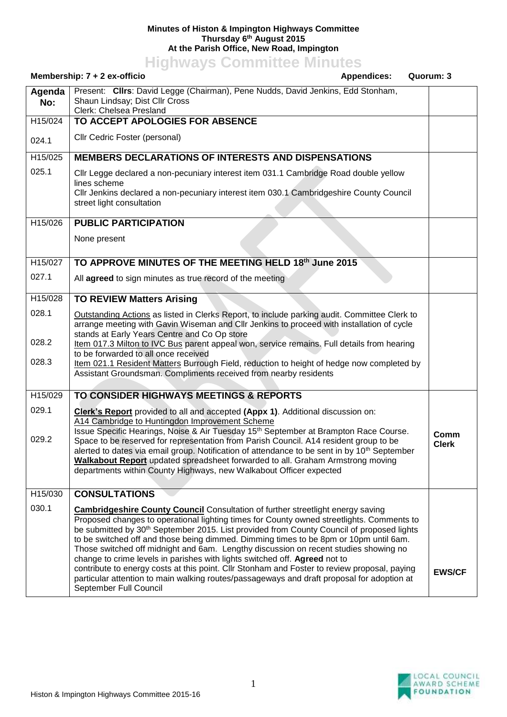## **Minutes of Histon & Impington Highways Committee Thursday 6 th August 2015 At the Parish Office, New Road, Impington**

**Highways Committee Minutes**

| Membership: 7 + 2 ex-officio<br><b>Appendices:</b><br>Quorum: 3 |                                                                                                                                                                                                                                                                                                                                                                                                                                                                                                                                                                                                                                                                                                                                                                                     |                      |
|-----------------------------------------------------------------|-------------------------------------------------------------------------------------------------------------------------------------------------------------------------------------------------------------------------------------------------------------------------------------------------------------------------------------------------------------------------------------------------------------------------------------------------------------------------------------------------------------------------------------------------------------------------------------------------------------------------------------------------------------------------------------------------------------------------------------------------------------------------------------|----------------------|
| Agenda<br>No:                                                   | Present: Clirs: David Legge (Chairman), Pene Nudds, David Jenkins, Edd Stonham,<br>Shaun Lindsay; Dist Cllr Cross<br>Clerk: Chelsea Presland                                                                                                                                                                                                                                                                                                                                                                                                                                                                                                                                                                                                                                        |                      |
| H15/024                                                         | TO ACCEPT APOLOGIES FOR ABSENCE                                                                                                                                                                                                                                                                                                                                                                                                                                                                                                                                                                                                                                                                                                                                                     |                      |
| 024.1                                                           | Cllr Cedric Foster (personal)                                                                                                                                                                                                                                                                                                                                                                                                                                                                                                                                                                                                                                                                                                                                                       |                      |
| H15/025                                                         | <b>MEMBERS DECLARATIONS OF INTERESTS AND DISPENSATIONS</b>                                                                                                                                                                                                                                                                                                                                                                                                                                                                                                                                                                                                                                                                                                                          |                      |
| 025.1                                                           | CIIr Legge declared a non-pecuniary interest item 031.1 Cambridge Road double yellow<br>lines scheme<br>Cllr Jenkins declared a non-pecuniary interest item 030.1 Cambridgeshire County Council<br>street light consultation                                                                                                                                                                                                                                                                                                                                                                                                                                                                                                                                                        |                      |
| H15/026                                                         | <b>PUBLIC PARTICIPATION</b>                                                                                                                                                                                                                                                                                                                                                                                                                                                                                                                                                                                                                                                                                                                                                         |                      |
|                                                                 | None present                                                                                                                                                                                                                                                                                                                                                                                                                                                                                                                                                                                                                                                                                                                                                                        |                      |
| H15/027                                                         | TO APPROVE MINUTES OF THE MEETING HELD 18th June 2015                                                                                                                                                                                                                                                                                                                                                                                                                                                                                                                                                                                                                                                                                                                               |                      |
| 027.1                                                           | All agreed to sign minutes as true record of the meeting                                                                                                                                                                                                                                                                                                                                                                                                                                                                                                                                                                                                                                                                                                                            |                      |
| H15/028                                                         | <b>TO REVIEW Matters Arising</b>                                                                                                                                                                                                                                                                                                                                                                                                                                                                                                                                                                                                                                                                                                                                                    |                      |
| 028.1<br>028.2<br>028.3                                         | Outstanding Actions as listed in Clerks Report, to include parking audit. Committee Clerk to<br>arrange meeting with Gavin Wiseman and Cllr Jenkins to proceed with installation of cycle<br>stands at Early Years Centre and Co Op store<br>Item 017.3 Milton to IVC Bus parent appeal won, service remains. Full details from hearing<br>to be forwarded to all once received<br>Item 021.1 Resident Matters Burrough Field, reduction to height of hedge now completed by<br>Assistant Groundsman. Compliments received from nearby residents                                                                                                                                                                                                                                    |                      |
| H15/029                                                         | TO CONSIDER HIGHWAYS MEETINGS & REPORTS                                                                                                                                                                                                                                                                                                                                                                                                                                                                                                                                                                                                                                                                                                                                             |                      |
| 029.1<br>029.2                                                  | Clerk's Report provided to all and accepted (Appx 1). Additional discussion on:<br>A14 Cambridge to Huntingdon Improvement Scheme<br>Issue Specific Hearings, Noise & Air Tuesday 15 <sup>th</sup> September at Brampton Race Course.<br>Space to be reserved for representation from Parish Council. A14 resident group to be<br>alerted to dates via email group. Notification of attendance to be sent in by 10 <sup>th</sup> September<br><b>Walkabout Report</b> updated spreadsheet forwarded to all. Graham Armstrong moving<br>departments within County Highways, new Walkabout Officer expected                                                                                                                                                                           | Comm<br><b>Clerk</b> |
| H15/030                                                         | <b>CONSULTATIONS</b>                                                                                                                                                                                                                                                                                                                                                                                                                                                                                                                                                                                                                                                                                                                                                                |                      |
| 030.1                                                           | <b>Cambridgeshire County Council</b> Consultation of further streetlight energy saving<br>Proposed changes to operational lighting times for County owned streetlights. Comments to<br>be submitted by 30 <sup>th</sup> September 2015. List provided from County Council of proposed lights<br>to be switched off and those being dimmed. Dimming times to be 8pm or 10pm until 6am.<br>Those switched off midnight and 6am. Lengthy discussion on recent studies showing no<br>change to crime levels in parishes with lights switched off. Agreed not to<br>contribute to energy costs at this point. Cllr Stonham and Foster to review proposal, paying<br>particular attention to main walking routes/passageways and draft proposal for adoption at<br>September Full Council | <b>EWS/CF</b>        |
|                                                                 |                                                                                                                                                                                                                                                                                                                                                                                                                                                                                                                                                                                                                                                                                                                                                                                     |                      |